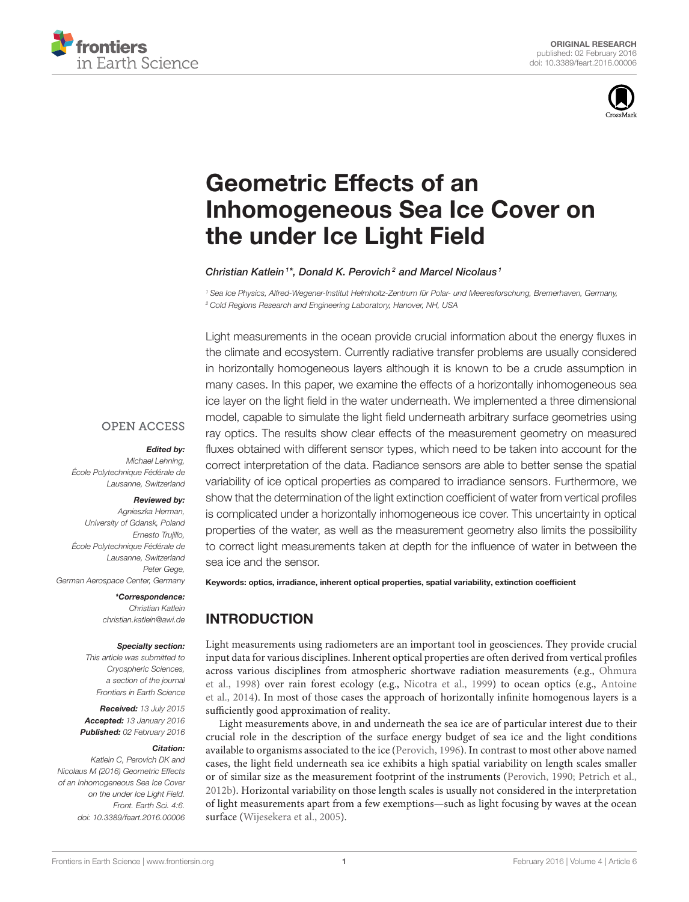



# Geometric Effects of an [Inhomogeneous Sea Ice Cover on](http://journal.frontiersin.org/article/10.3389/feart.2016.00006/abstract) the under Ice Light Field

#### [Christian](http://loop.frontiersin.org/people/256273/overview) Katlein<sup>1\*</sup>, Donald K. Perovich<sup>2</sup> and Marcel Nicolaus<sup>1</sup>

<sup>1</sup> Sea Ice Physics, Alfred-Wegener-Institut Helmholtz-Zentrum für Polar- und Meeresforschung, Bremerhaven, Germany, <sup>2</sup> Cold Regions Research and Engineering Laboratory, Hanover, NH, USA

Light measurements in the ocean provide crucial information about the energy fluxes in the climate and ecosystem. Currently radiative transfer problems are usually considered in horizontally homogeneous layers although it is known to be a crude assumption in many cases. In this paper, we examine the effects of a horizontally inhomogeneous sea ice layer on the light field in the water underneath. We implemented a three dimensional model, capable to simulate the light field underneath arbitrary surface geometries using ray optics. The results show clear effects of the measurement geometry on measured fluxes obtained with different sensor types, which need to be taken into account for the correct interpretation of the data. Radiance sensors are able to better sense the spatial variability of ice optical properties as compared to irradiance sensors. Furthermore, we show that the determination of the light extinction coefficient of water from vertical profiles is complicated under a horizontally inhomogeneous ice cover. This uncertainty in optical properties of the water, as well as the measurement geometry also limits the possibility to correct light measurements taken at depth for the influence of water in between the sea ice and the sensor.

# **OPEN ACCESS**

# Edited by:

Michael Lehning, École Polytechnique Fédérale de Lausanne, Switzerland

#### Reviewed by:

Agnieszka Herman, University of Gdansk, Poland Ernesto Trujillo, École Polytechnique Fédérale de Lausanne, Switzerland Peter Gege, German Aerospace Center, Germany

> \*Correspondence: Christian Katlein [christian.katlein@awi.de](mailto:christian.katlein@awi.de)

#### Specialty section:

This article was submitted to Cryospheric Sciences, a section of the journal Frontiers in Earth Science

Received: 13 July 2015 Accepted: 13 January 2016 Published: 02 February 2016

#### Citation:

Katlein C, Perovich DK and Nicolaus M (2016) Geometric Effects of an Inhomogeneous Sea Ice Cover on the under Ice Light Field. Front. Earth Sci. 4:6. doi: [10.3389/feart.2016.00006](http://dx.doi.org/10.3389/feart.2016.00006) Keywords: optics, irradiance, inherent optical properties, spatial variability, extinction coefficient

# INTRODUCTION

Light measurements using radiometers are an important tool in geosciences. They provide crucial input data for various disciplines. Inherent optical properties are often derived from vertical profiles across various disciplines from atmospheric shortwave radiation measurements (e.g., Ohmura et al., [1998\)](#page-9-0) over rain forest ecology (e.g., [Nicotra et al., 1999\)](#page-9-1) to ocean optics (e.g., Antoine et al., [2014\)](#page-8-0). In most of those cases the approach of horizontally infinite homogenous layers is a sufficiently good approximation of reality.

Light measurements above, in and underneath the sea ice are of particular interest due to their crucial role in the description of the surface energy budget of sea ice and the light conditions available to organisms associated to the ice [\(Perovich, 1996\)](#page-9-2). In contrast to most other above named cases, the light field underneath sea ice exhibits a high spatial variability on length scales smaller or of similar size as the measurement footprint of the instruments [\(Perovich, 1990;](#page-9-3) [Petrich et al.,](#page-9-4) [2012b\)](#page-9-4). Horizontal variability on those length scales is usually not considered in the interpretation of light measurements apart from a few exemptions—such as light focusing by waves at the ocean surface [\(Wijesekera et al., 2005\)](#page-9-5).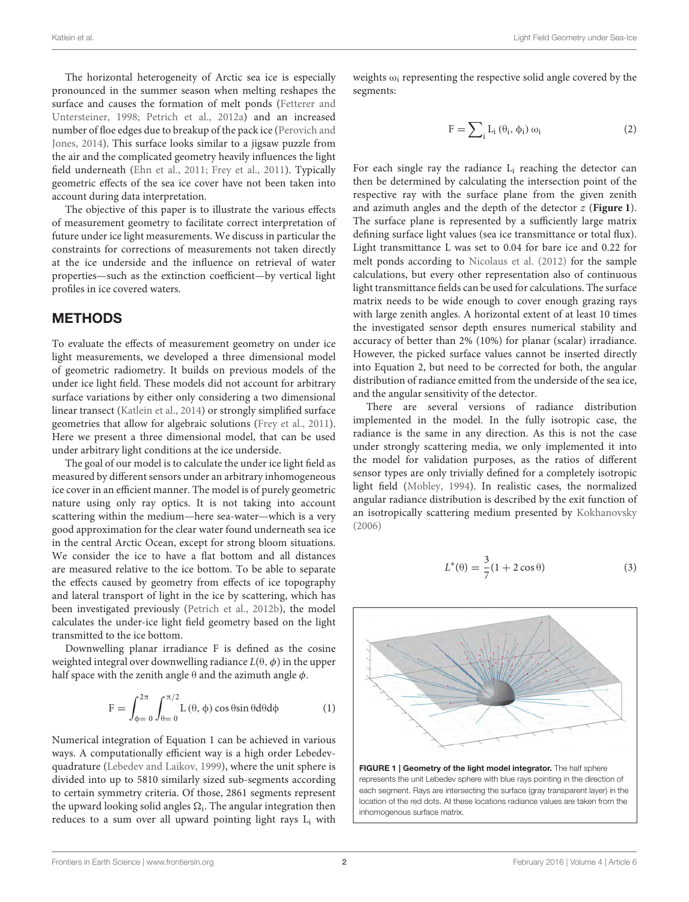The horizontal heterogeneity of Arctic sea ice is especially pronounced in the summer season when melting reshapes the surface and causes the formation of melt ponds (Fetterer and Untersteiner, [1998;](#page-9-6) [Petrich et al., 2012a\)](#page-9-7) and an increased number of floe edges due to breakup of the pack ice (Perovich and Jones, [2014\)](#page-9-8). This surface looks similar to a jigsaw puzzle from the air and the complicated geometry heavily influences the light field underneath [\(Ehn et al., 2011;](#page-8-1) [Frey et al., 2011\)](#page-9-9). Typically geometric effects of the sea ice cover have not been taken into account during data interpretation.

The objective of this paper is to illustrate the various effects of measurement geometry to facilitate correct interpretation of future under ice light measurements. We discuss in particular the constraints for corrections of measurements not taken directly at the ice underside and the influence on retrieval of water properties—such as the extinction coefficient—by vertical light profiles in ice covered waters.

### METHODS

To evaluate the effects of measurement geometry on under ice light measurements, we developed a three dimensional model of geometric radiometry. It builds on previous models of the under ice light field. These models did not account for arbitrary surface variations by either only considering a two dimensional linear transect [\(Katlein et al., 2014\)](#page-9-10) or strongly simplified surface geometries that allow for algebraic solutions [\(Frey et al., 2011\)](#page-9-9). Here we present a three dimensional model, that can be used under arbitrary light conditions at the ice underside.

The goal of our model is to calculate the under ice light field as measured by different sensors under an arbitrary inhomogeneous ice cover in an efficient manner. The model is of purely geometric nature using only ray optics. It is not taking into account scattering within the medium—here sea-water—which is a very good approximation for the clear water found underneath sea ice in the central Arctic Ocean, except for strong bloom situations. We consider the ice to have a flat bottom and all distances are measured relative to the ice bottom. To be able to separate the effects caused by geometry from effects of ice topography and lateral transport of light in the ice by scattering, which has been investigated previously [\(Petrich et al., 2012b\)](#page-9-4), the model calculates the under-ice light field geometry based on the light transmitted to the ice bottom.

Downwelling planar irradiance F is defined as the cosine weighted integral over downwelling radiance  $L(\theta, \phi)$  in the upper half space with the zenith angle  $\theta$  and the azimuth angle  $\phi$ .

$$
F = \int_{\phi=0}^{2\pi} \int_{\theta=0}^{\pi/2} L(\theta, \phi) \cos \theta \sin \theta d\theta d\phi
$$
 (1)

Numerical integration of Equation 1 can be achieved in various ways. A computationally efficient way is a high order Lebedevquadrature [\(Lebedev and Laikov, 1999\)](#page-9-11), where the unit sphere is divided into up to 5810 similarly sized sub-segments according to certain symmetry criteria. Of those, 2861 segments represent the upward looking solid angles  $\Omega_{\rm i}$ . The angular integration then reduces to a sum over all upward pointing light rays L<sub>i</sub> with weights  $\omega_i$  representing the respective solid angle covered by the segments:

$$
F = \sum_{i} L_i (\theta_i, \phi_i) \omega_i \tag{2}
$$

For each single ray the radiance  $L_i$  reaching the detector can then be determined by calculating the intersection point of the respective ray with the surface plane from the given zenith and azimuth angles and the depth of the detector z (**[Figure 1](#page-1-0)**). The surface plane is represented by a sufficiently large matrix defining surface light values (sea ice transmittance or total flux). Light transmittance L was set to 0.04 for bare ice and 0.22 for melt ponds according to [Nicolaus et al. \(2012\)](#page-9-12) for the sample calculations, but every other representation also of continuous light transmittance fields can be used for calculations. The surface matrix needs to be wide enough to cover enough grazing rays with large zenith angles. A horizontal extent of at least 10 times the investigated sensor depth ensures numerical stability and accuracy of better than 2% (10%) for planar (scalar) irradiance. However, the picked surface values cannot be inserted directly into Equation 2, but need to be corrected for both, the angular distribution of radiance emitted from the underside of the sea ice, and the angular sensitivity of the detector.

There are several versions of radiance distribution implemented in the model. In the fully isotropic case, the radiance is the same in any direction. As this is not the case under strongly scattering media, we only implemented it into the model for validation purposes, as the ratios of different sensor types are only trivially defined for a completely isotropic light field [\(Mobley, 1994\)](#page-9-13). In realistic cases, the normalized angular radiance distribution is described by the exit function of an isotropically scattering medium presented by [Kokhanovsky](#page-9-14) [\(2006\)](#page-9-14)

$$
L^*(\theta) = \frac{3}{7}(1 + 2\cos\theta)
$$
 (3)



<span id="page-1-0"></span>FIGURE 1 | Geometry of the light model integrator. The half sphere represents the unit Lebedev sphere with blue rays pointing in the direction of each segment. Rays are intersecting the surface (gray transparent layer) in the location of the red dots. At these locations radiance values are taken from the inhomogenous surface matrix.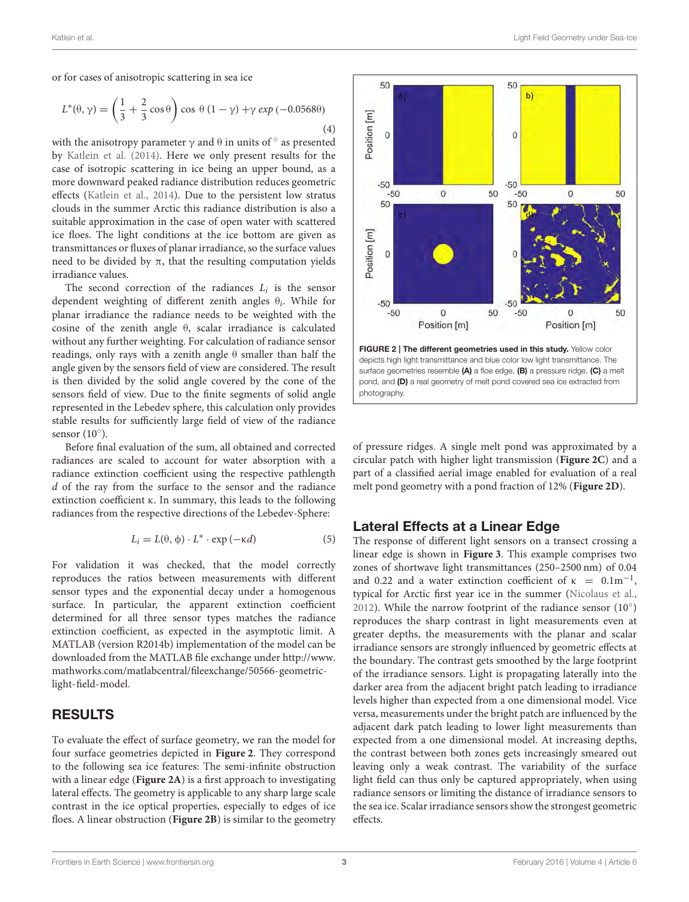or for cases of anisotropic scattering in sea ice

$$
L^*(\theta, \gamma) = \left(\frac{1}{3} + \frac{2}{3}\cos\theta\right)\cos\theta\left(1 - \gamma\right) + \gamma \exp\left(-0.0568\theta\right)
$$
\n(4)

with the anisotropy parameter  $\gamma$  and  $\theta$  in units of  $\circ$  as presented by [Katlein et al. \(2014\)](#page-9-10). Here we only present results for the case of isotropic scattering in ice being an upper bound, as a more downward peaked radiance distribution reduces geometric effects [\(Katlein et al., 2014\)](#page-9-10). Due to the persistent low stratus clouds in the summer Arctic this radiance distribution is also a suitable approximation in the case of open water with scattered ice floes. The light conditions at the ice bottom are given as transmittances or fluxes of planar irradiance, so the surface values need to be divided by π, that the resulting computation yields irradiance values.

The second correction of the radiances  $L_i$  is the sensor dependent weighting of different zenith angles  $\theta_i$ . While for planar irradiance the radiance needs to be weighted with the cosine of the zenith angle θ, scalar irradiance is calculated without any further weighting. For calculation of radiance sensor readings, only rays with a zenith angle θ smaller than half the angle given by the sensors field of view are considered. The result is then divided by the solid angle covered by the cone of the sensors field of view. Due to the finite segments of solid angle represented in the Lebedev sphere, this calculation only provides stable results for sufficiently large field of view of the radiance sensor (10°).

Before final evaluation of the sum, all obtained and corrected radiances are scaled to account for water absorption with a radiance extinction coefficient using the respective pathlength d of the ray from the surface to the sensor and the radiance extinction coefficient κ. In summary, this leads to the following radiances from the respective directions of the Lebedev-Sphere:

$$
L_i = L(\theta, \phi) \cdot L^* \cdot \exp(-\kappa d) \tag{5}
$$

For validation it was checked, that the model correctly reproduces the ratios between measurements with different sensor types and the exponential decay under a homogenous surface. In particular, the apparent extinction coefficient determined for all three sensor types matches the radiance extinction coefficient, as expected in the asymptotic limit. A MATLAB (version R2014b) implementation of the model can be downloaded from the MATLAB file exchange under [http://www.](http://www.mathworks.com/matlabcentral/fileexchange/50566-geometric-light-field-model) [mathworks.com/matlabcentral/fileexchange/50566-geometric](http://www.mathworks.com/matlabcentral/fileexchange/50566-geometric-light-field-model)[light-field-model.](http://www.mathworks.com/matlabcentral/fileexchange/50566-geometric-light-field-model)

# RESULTS

To evaluate the effect of surface geometry, we ran the model for four surface geometries depicted in **[Figure 2](#page-2-0)**. They correspond to the following sea ice features: The semi-infinite obstruction with a linear edge (**[Figure 2A](#page-2-0)**) is a first approach to investigating lateral effects. The geometry is applicable to any sharp large scale contrast in the ice optical properties, especially to edges of ice floes. A linear obstruction (**[Figure 2B](#page-2-0)**) is similar to the geometry



<span id="page-2-0"></span>surface geometries resemble (A) a floe edge, (B) a pressure ridge, (C) a melt pond, and (D) a real geometry of melt pond covered sea ice extracted from photography.

of pressure ridges. A single melt pond was approximated by a circular patch with higher light transmission (**[Figure 2C](#page-2-0)**) and a part of a classified aerial image enabled for evaluation of a real melt pond geometry with a pond fraction of 12% (**[Figure 2D](#page-2-0)**).

# Lateral Effects at a Linear Edge

The response of different light sensors on a transect crossing a linear edge is shown in **[Figure 3](#page-3-0)**. This example comprises two zones of shortwave light transmittances (250–2500 nm) of 0.04 and 0.22 and a water extinction coefficient of  $\kappa = 0.1 \text{m}^{-1}$ , typical for Arctic first year ice in the summer [\(Nicolaus et al.,](#page-9-12) [2012\)](#page-9-12). While the narrow footprint of the radiance sensor  $(10^{\circ})$ reproduces the sharp contrast in light measurements even at greater depths, the measurements with the planar and scalar irradiance sensors are strongly influenced by geometric effects at the boundary. The contrast gets smoothed by the large footprint of the irradiance sensors. Light is propagating laterally into the darker area from the adjacent bright patch leading to irradiance levels higher than expected from a one dimensional model. Vice versa, measurements under the bright patch are influenced by the adjacent dark patch leading to lower light measurements than expected from a one dimensional model. At increasing depths, the contrast between both zones gets increasingly smeared out leaving only a weak contrast. The variability of the surface light field can thus only be captured appropriately, when using radiance sensors or limiting the distance of irradiance sensors to the sea ice. Scalar irradiance sensors show the strongest geometric effects.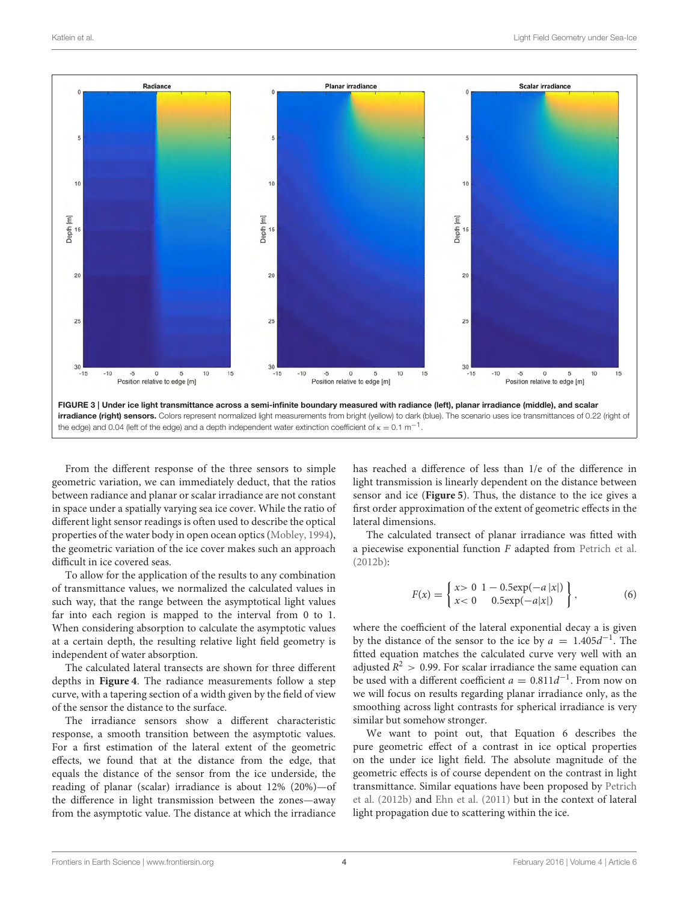

<span id="page-3-0"></span>From the different response of the three sensors to simple geometric variation, we can immediately deduct, that the ratios between radiance and planar or scalar irradiance are not constant in space under a spatially varying sea ice cover. While the ratio of different light sensor readings is often used to describe the optical properties of the water body in open ocean optics [\(Mobley, 1994\)](#page-9-13), the geometric variation of the ice cover makes such an approach difficult in ice covered seas.

To allow for the application of the results to any combination of transmittance values, we normalized the calculated values in such way, that the range between the asymptotical light values far into each region is mapped to the interval from 0 to 1. When considering absorption to calculate the asymptotic values at a certain depth, the resulting relative light field geometry is independent of water absorption.

The calculated lateral transects are shown for three different depths in **[Figure 4](#page-4-0)**. The radiance measurements follow a step curve, with a tapering section of a width given by the field of view of the sensor the distance to the surface.

The irradiance sensors show a different characteristic response, a smooth transition between the asymptotic values. For a first estimation of the lateral extent of the geometric effects, we found that at the distance from the edge, that equals the distance of the sensor from the ice underside, the reading of planar (scalar) irradiance is about 12% (20%)—of the difference in light transmission between the zones—away from the asymptotic value. The distance at which the irradiance

has reached a difference of less than 1/e of the difference in light transmission is linearly dependent on the distance between sensor and ice (**[Figure 5](#page-4-1)**). Thus, the distance to the ice gives a first order approximation of the extent of geometric effects in the lateral dimensions.

The calculated transect of planar irradiance was fitted with a piecewise exponential function  $F$  adapted from [Petrich et al.](#page-9-4) [\(2012b\)](#page-9-4):

$$
F(x) = \begin{cases} x > 0 & 1 - 0.5 \exp(-a|x|) \\ x < 0 & 0.5 \exp(-a|x|) \end{cases},
$$
 (6)

where the coefficient of the lateral exponential decay a is given by the distance of the sensor to the ice by  $a = 1.405d^{-1}$ . The fitted equation matches the calculated curve very well with an adjusted  $R^2 > 0.99$ . For scalar irradiance the same equation can be used with a different coefficient  $a = 0.811d^{-1}$ . From now on we will focus on results regarding planar irradiance only, as the smoothing across light contrasts for spherical irradiance is very similar but somehow stronger.

We want to point out, that Equation 6 describes the pure geometric effect of a contrast in ice optical properties on the under ice light field. The absolute magnitude of the geometric effects is of course dependent on the contrast in light transmittance. Similar equations have been proposed by Petrich et al. [\(2012b\)](#page-9-4) and [Ehn et al. \(2011\)](#page-8-1) but in the context of lateral light propagation due to scattering within the ice.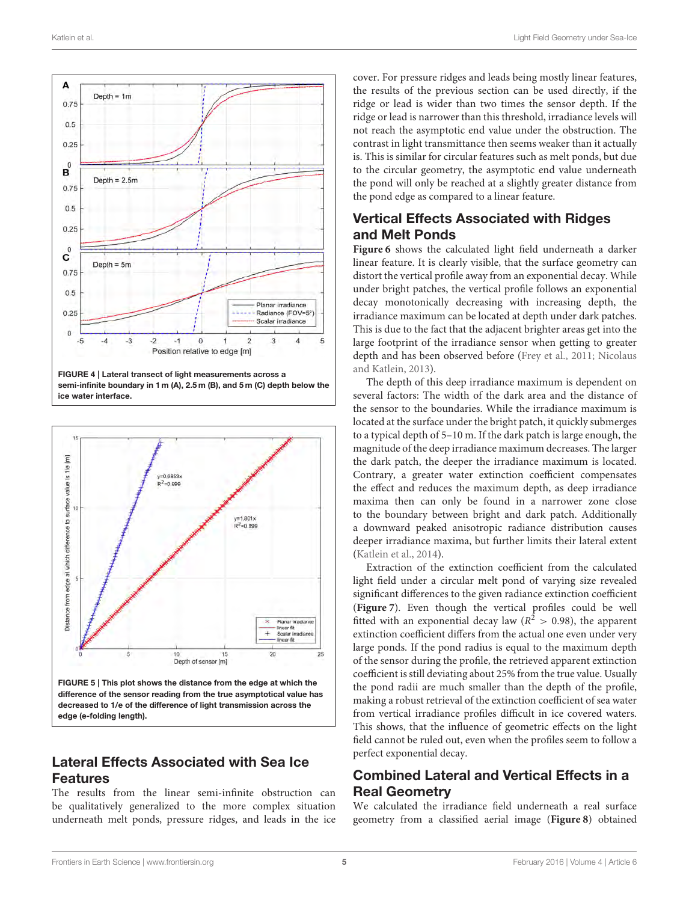

<span id="page-4-0"></span>



<span id="page-4-1"></span>difference of the sensor reading from the true asymptotical value has decreased to 1/e of the difference of light transmission across the edge (e-folding length).

# Lateral Effects Associated with Sea Ice Features

The results from the linear semi-infinite obstruction can be qualitatively generalized to the more complex situation underneath melt ponds, pressure ridges, and leads in the ice cover. For pressure ridges and leads being mostly linear features, the results of the previous section can be used directly, if the ridge or lead is wider than two times the sensor depth. If the ridge or lead is narrower than this threshold, irradiance levels will not reach the asymptotic end value under the obstruction. The contrast in light transmittance then seems weaker than it actually is. This is similar for circular features such as melt ponds, but due to the circular geometry, the asymptotic end value underneath the pond will only be reached at a slightly greater distance from the pond edge as compared to a linear feature.

# Vertical Effects Associated with Ridges and Melt Ponds

**[Figure 6](#page-5-0)** shows the calculated light field underneath a darker linear feature. It is clearly visible, that the surface geometry can distort the vertical profile away from an exponential decay. While under bright patches, the vertical profile follows an exponential decay monotonically decreasing with increasing depth, the irradiance maximum can be located at depth under dark patches. This is due to the fact that the adjacent brighter areas get into the large footprint of the irradiance sensor when getting to greater depth and has been observed before [\(Frey et al., 2011;](#page-9-9) Nicolaus and Katlein, [2013\)](#page-9-15).

The depth of this deep irradiance maximum is dependent on several factors: The width of the dark area and the distance of the sensor to the boundaries. While the irradiance maximum is located at the surface under the bright patch, it quickly submerges to a typical depth of 5–10 m. If the dark patch is large enough, the magnitude of the deep irradiance maximum decreases. The larger the dark patch, the deeper the irradiance maximum is located. Contrary, a greater water extinction coefficient compensates the effect and reduces the maximum depth, as deep irradiance maxima then can only be found in a narrower zone close to the boundary between bright and dark patch. Additionally a downward peaked anisotropic radiance distribution causes deeper irradiance maxima, but further limits their lateral extent [\(Katlein et al., 2014\)](#page-9-10).

Extraction of the extinction coefficient from the calculated light field under a circular melt pond of varying size revealed significant differences to the given radiance extinction coefficient (**[Figure 7](#page-5-1)**). Even though the vertical profiles could be well fitted with an exponential decay law ( $R^2 > 0.98$ ), the apparent extinction coefficient differs from the actual one even under very large ponds. If the pond radius is equal to the maximum depth of the sensor during the profile, the retrieved apparent extinction coefficient is still deviating about 25% from the true value. Usually the pond radii are much smaller than the depth of the profile, making a robust retrieval of the extinction coefficient of sea water from vertical irradiance profiles difficult in ice covered waters. This shows, that the influence of geometric effects on the light field cannot be ruled out, even when the profiles seem to follow a perfect exponential decay.

# Combined Lateral and Vertical Effects in a Real Geometry

We calculated the irradiance field underneath a real surface geometry from a classified aerial image (**[Figure 8](#page-6-0)**) obtained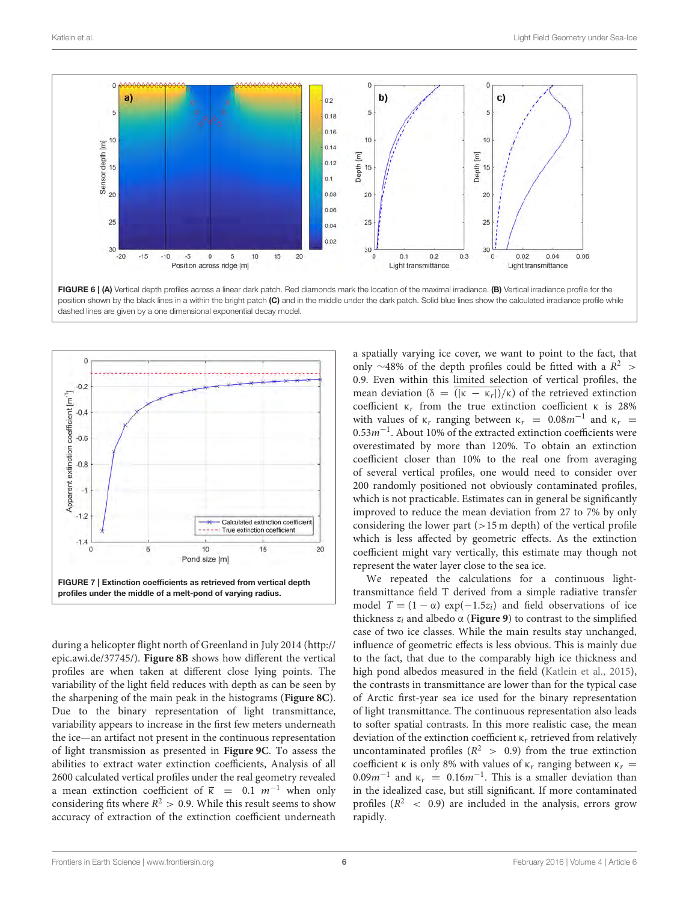

<span id="page-5-0"></span>

<span id="page-5-1"></span>during a helicopter flight north of Greenland in July 2014 [\(http://](http://epic.awi.de/37745/) [epic.awi.de/37745/\)](http://epic.awi.de/37745/). **[Figure 8B](#page-6-0)** shows how different the vertical profiles are when taken at different close lying points. The variability of the light field reduces with depth as can be seen by the sharpening of the main peak in the histograms (**[Figure 8C](#page-6-0)**). Due to the binary representation of light transmittance, variability appears to increase in the first few meters underneath the ice—an artifact not present in the continuous representation of light transmission as presented in **[Figure 9C](#page-6-1)**. To assess the abilities to extract water extinction coefficients, Analysis of all 2600 calculated vertical profiles under the real geometry revealed a mean extinction coefficient of  $\bar{k}$  = 0.1 m<sup>-1</sup> when only considering fits where  $R^2 > 0.9$ . While this result seems to show accuracy of extraction of the extinction coefficient underneath

a spatially varying ice cover, we want to point to the fact, that only ~48% of the depth profiles could be fitted with a  $R^2$  > 0.9. Even within this limited selection of vertical profiles, the mean deviation ( $\delta = (|\kappa - \kappa_r|)/\kappa$ ) of the retrieved extinction coefficient  $κ<sub>r</sub>$  from the true extinction coefficient κ is 28% with values of  $\kappa_r$  ranging between  $\kappa_r = 0.08m^{-1}$  and  $\kappa_r =$ 0.53m−<sup>1</sup> . About 10% of the extracted extinction coefficients were overestimated by more than 120%. To obtain an extinction coefficient closer than 10% to the real one from averaging of several vertical profiles, one would need to consider over 200 randomly positioned not obviously contaminated profiles, which is not practicable. Estimates can in general be significantly improved to reduce the mean deviation from 27 to 7% by only considering the lower part  $(>15 \text{ m depth})$  of the vertical profile which is less affected by geometric effects. As the extinction coefficient might vary vertically, this estimate may though not represent the water layer close to the sea ice.

We repeated the calculations for a continuous lighttransmittance field T derived from a simple radiative transfer model  $T = (1 - \alpha) \exp(-1.5z_i)$  and field observations of ice thickness  $z_i$  and albedo  $\alpha$  (**[Figure 9](#page-6-1)**) to contrast to the simplified case of two ice classes. While the main results stay unchanged, influence of geometric effects is less obvious. This is mainly due to the fact, that due to the comparably high ice thickness and high pond albedos measured in the field [\(Katlein et al., 2015\)](#page-9-16), the contrasts in transmittance are lower than for the typical case of Arctic first-year sea ice used for the binary representation of light transmittance. The continuous representation also leads to softer spatial contrasts. In this more realistic case, the mean deviation of the extinction coefficient  $\kappa_r$  retrieved from relatively uncontaminated profiles ( $R^2$  > 0.9) from the true extinction coefficient κ is only 8% with values of  $κ<sub>r</sub>$  ranging between  $κ<sub>r</sub>$  =  $0.09m^{-1}$  and  $\kappa_r = 0.16m^{-1}$ . This is a smaller deviation than in the idealized case, but still significant. If more contaminated profiles ( $R^2$  < 0.9) are included in the analysis, errors grow rapidly.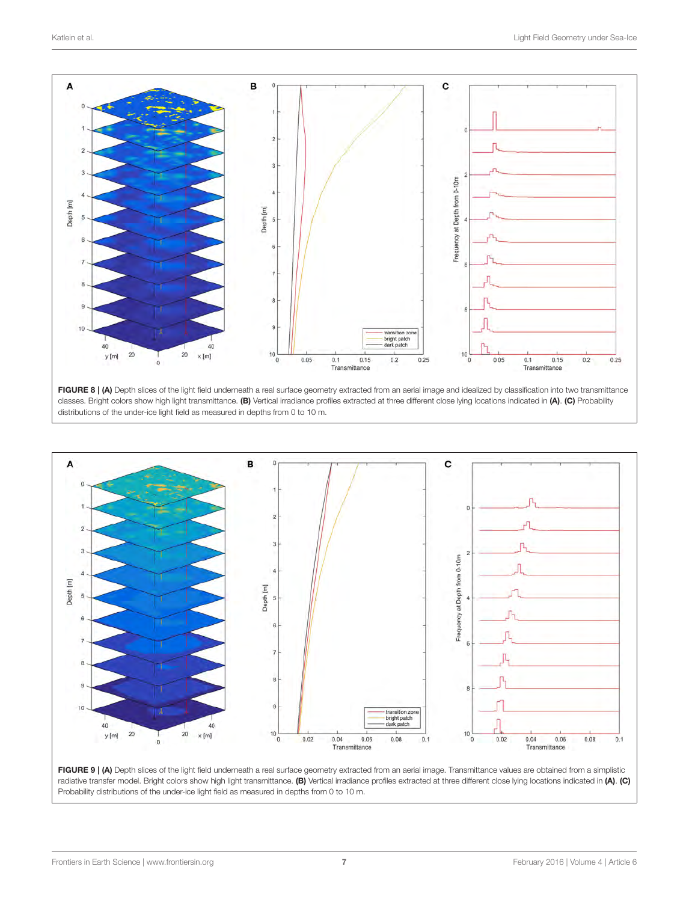

<span id="page-6-0"></span>



<span id="page-6-1"></span>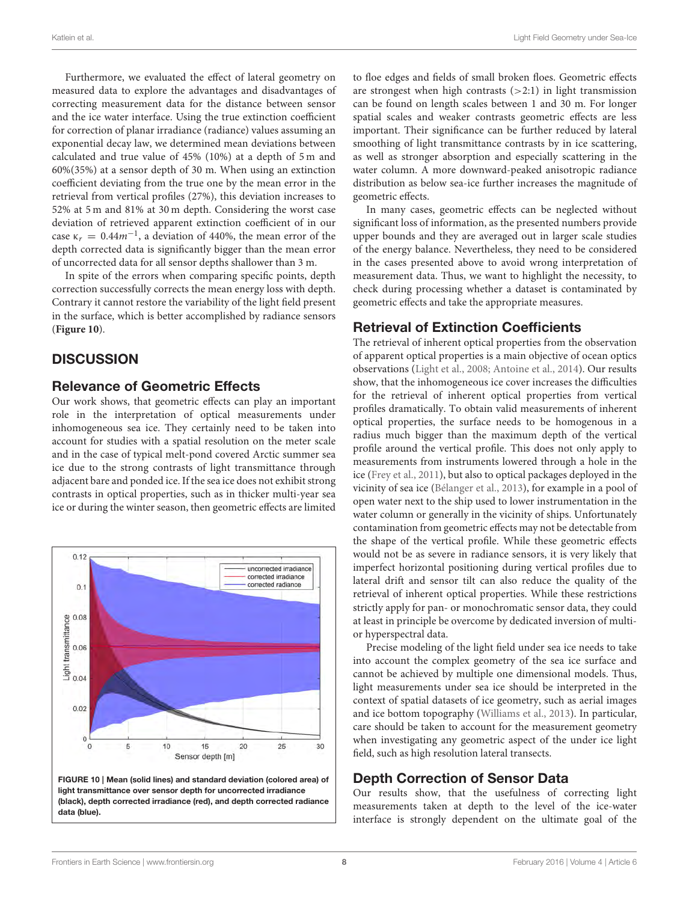Furthermore, we evaluated the effect of lateral geometry on measured data to explore the advantages and disadvantages of correcting measurement data for the distance between sensor and the ice water interface. Using the true extinction coefficient for correction of planar irradiance (radiance) values assuming an exponential decay law, we determined mean deviations between calculated and true value of 45% (10%) at a depth of 5 m and 60%(35%) at a sensor depth of 30 m. When using an extinction coefficient deviating from the true one by the mean error in the retrieval from vertical profiles (27%), this deviation increases to 52% at 5 m and 81% at 30 m depth. Considering the worst case deviation of retrieved apparent extinction coefficient of in our case  $\kappa_r = 0.44 m^{-1}$ , a deviation of 440%, the mean error of the depth corrected data is significantly bigger than the mean error of uncorrected data for all sensor depths shallower than 3 m.

In spite of the errors when comparing specific points, depth correction successfully corrects the mean energy loss with depth. Contrary it cannot restore the variability of the light field present in the surface, which is better accomplished by radiance sensors (**[Figure 10](#page-7-0)**).

# **DISCUSSION**

# Relevance of Geometric Effects

Our work shows, that geometric effects can play an important role in the interpretation of optical measurements under inhomogeneous sea ice. They certainly need to be taken into account for studies with a spatial resolution on the meter scale and in the case of typical melt-pond covered Arctic summer sea ice due to the strong contrasts of light transmittance through adjacent bare and ponded ice. If the sea ice does not exhibit strong contrasts in optical properties, such as in thicker multi-year sea ice or during the winter season, then geometric effects are limited

<span id="page-7-0"></span>

to floe edges and fields of small broken floes. Geometric effects are strongest when high contrasts  $(>2:1)$  in light transmission can be found on length scales between 1 and 30 m. For longer spatial scales and weaker contrasts geometric effects are less important. Their significance can be further reduced by lateral smoothing of light transmittance contrasts by in ice scattering, as well as stronger absorption and especially scattering in the water column. A more downward-peaked anisotropic radiance distribution as below sea-ice further increases the magnitude of geometric effects.

In many cases, geometric effects can be neglected without significant loss of information, as the presented numbers provide upper bounds and they are averaged out in larger scale studies of the energy balance. Nevertheless, they need to be considered in the cases presented above to avoid wrong interpretation of measurement data. Thus, we want to highlight the necessity, to check during processing whether a dataset is contaminated by geometric effects and take the appropriate measures.

# Retrieval of Extinction Coefficients

The retrieval of inherent optical properties from the observation of apparent optical properties is a main objective of ocean optics observations [\(Light et al., 2008;](#page-9-17) [Antoine et al., 2014\)](#page-8-0). Our results show, that the inhomogeneous ice cover increases the difficulties for the retrieval of inherent optical properties from vertical profiles dramatically. To obtain valid measurements of inherent optical properties, the surface needs to be homogenous in a radius much bigger than the maximum depth of the vertical profile around the vertical profile. This does not only apply to measurements from instruments lowered through a hole in the ice [\(Frey et al., 2011\)](#page-9-9), but also to optical packages deployed in the vicinity of sea ice [\(Bélanger et al., 2013\)](#page-8-2), for example in a pool of open water next to the ship used to lower instrumentation in the water column or generally in the vicinity of ships. Unfortunately contamination from geometric effects may not be detectable from the shape of the vertical profile. While these geometric effects would not be as severe in radiance sensors, it is very likely that imperfect horizontal positioning during vertical profiles due to lateral drift and sensor tilt can also reduce the quality of the retrieval of inherent optical properties. While these restrictions strictly apply for pan- or monochromatic sensor data, they could at least in principle be overcome by dedicated inversion of multior hyperspectral data.

Precise modeling of the light field under sea ice needs to take into account the complex geometry of the sea ice surface and cannot be achieved by multiple one dimensional models. Thus, light measurements under sea ice should be interpreted in the context of spatial datasets of ice geometry, such as aerial images and ice bottom topography [\(Williams et al., 2013\)](#page-9-18). In particular, care should be taken to account for the measurement geometry when investigating any geometric aspect of the under ice light field, such as high resolution lateral transects.

# Depth Correction of Sensor Data

Our results show, that the usefulness of correcting light measurements taken at depth to the level of the ice-water interface is strongly dependent on the ultimate goal of the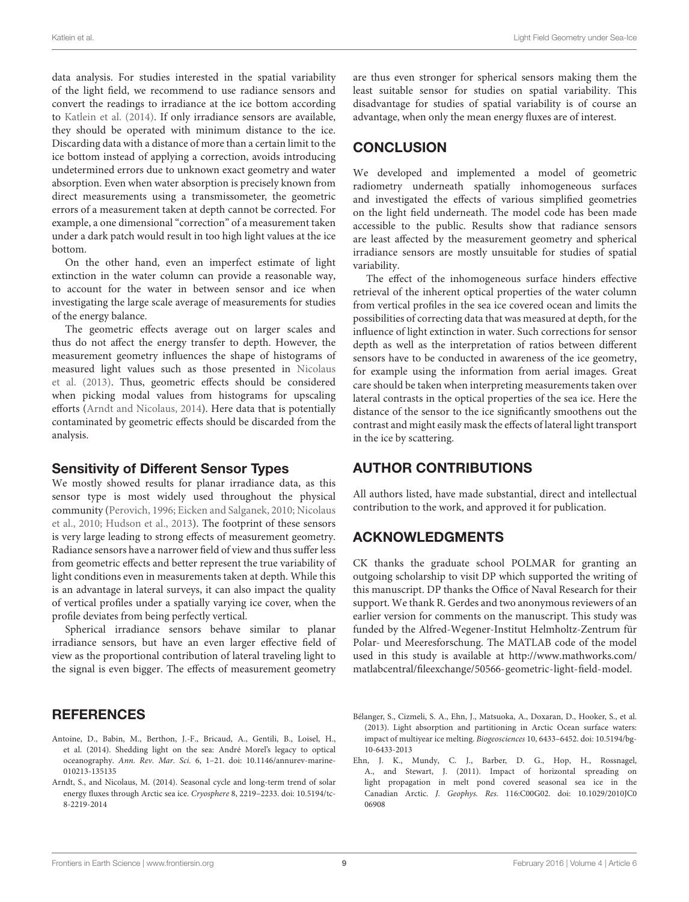data analysis. For studies interested in the spatial variability of the light field, we recommend to use radiance sensors and convert the readings to irradiance at the ice bottom according to [Katlein et al. \(2014\)](#page-9-10). If only irradiance sensors are available, they should be operated with minimum distance to the ice. Discarding data with a distance of more than a certain limit to the ice bottom instead of applying a correction, avoids introducing undetermined errors due to unknown exact geometry and water absorption. Even when water absorption is precisely known from direct measurements using a transmissometer, the geometric errors of a measurement taken at depth cannot be corrected. For example, a one dimensional "correction" of a measurement taken under a dark patch would result in too high light values at the ice bottom.

On the other hand, even an imperfect estimate of light extinction in the water column can provide a reasonable way, to account for the water in between sensor and ice when investigating the large scale average of measurements for studies of the energy balance.

The geometric effects average out on larger scales and thus do not affect the energy transfer to depth. However, the measurement geometry influences the shape of histograms of measured light values such as those presented in Nicolaus et al. [\(2013\)](#page-9-19). Thus, geometric effects should be considered when picking modal values from histograms for upscaling efforts [\(Arndt and Nicolaus, 2014\)](#page-8-3). Here data that is potentially contaminated by geometric effects should be discarded from the analysis.

#### Sensitivity of Different Sensor Types

We mostly showed results for planar irradiance data, as this sensor type is most widely used throughout the physical community [\(Perovich, 1996;](#page-9-2) [Eicken and Salganek, 2010;](#page-9-20) Nicolaus et al., [2010;](#page-9-21) [Hudson et al., 2013\)](#page-9-22). The footprint of these sensors is very large leading to strong effects of measurement geometry. Radiance sensors have a narrower field of view and thus suffer less from geometric effects and better represent the true variability of light conditions even in measurements taken at depth. While this is an advantage in lateral surveys, it can also impact the quality of vertical profiles under a spatially varying ice cover, when the profile deviates from being perfectly vertical.

Spherical irradiance sensors behave similar to planar irradiance sensors, but have an even larger effective field of view as the proportional contribution of lateral traveling light to the signal is even bigger. The effects of measurement geometry

### REFERENCES

- <span id="page-8-0"></span>Antoine, D., Babin, M., Berthon, J.-F., Bricaud, A., Gentili, B., Loisel, H., et al. (2014). Shedding light on the sea: André Morel's legacy to optical oceanography. Ann. Rev. Mar. Sci. 6, 1–21. doi: 10.1146/annurev-marine-010213-135135
- <span id="page-8-3"></span>Arndt, S., and Nicolaus, M. (2014). Seasonal cycle and long-term trend of solar energy fluxes through Arctic sea ice. Cryosphere 8, 2219–2233. doi: 10.5194/tc-8-2219-2014

are thus even stronger for spherical sensors making them the least suitable sensor for studies on spatial variability. This disadvantage for studies of spatial variability is of course an advantage, when only the mean energy fluxes are of interest.

# **CONCLUSION**

We developed and implemented a model of geometric radiometry underneath spatially inhomogeneous surfaces and investigated the effects of various simplified geometries on the light field underneath. The model code has been made accessible to the public. Results show that radiance sensors are least affected by the measurement geometry and spherical irradiance sensors are mostly unsuitable for studies of spatial variability.

The effect of the inhomogeneous surface hinders effective retrieval of the inherent optical properties of the water column from vertical profiles in the sea ice covered ocean and limits the possibilities of correcting data that was measured at depth, for the influence of light extinction in water. Such corrections for sensor depth as well as the interpretation of ratios between different sensors have to be conducted in awareness of the ice geometry, for example using the information from aerial images. Great care should be taken when interpreting measurements taken over lateral contrasts in the optical properties of the sea ice. Here the distance of the sensor to the ice significantly smoothens out the contrast and might easily mask the effects of lateral light transport in the ice by scattering.

# AUTHOR CONTRIBUTIONS

All authors listed, have made substantial, direct and intellectual contribution to the work, and approved it for publication.

# ACKNOWLEDGMENTS

CK thanks the graduate school POLMAR for granting an outgoing scholarship to visit DP which supported the writing of this manuscript. DP thanks the Office of Naval Research for their support. We thank R. Gerdes and two anonymous reviewers of an earlier version for comments on the manuscript. This study was funded by the Alfred-Wegener-Institut Helmholtz-Zentrum für Polar- und Meeresforschung. The MATLAB code of the model used in this study is available at [http://www.mathworks.com/](http://www.mathworks.com/matlabcentral/fileexchange/50566-geometric-light-field-model) [matlabcentral/fileexchange/50566-geometric-light-field-model.](http://www.mathworks.com/matlabcentral/fileexchange/50566-geometric-light-field-model)

<span id="page-8-2"></span>Bélanger, S., Cizmeli, S. A., Ehn, J., Matsuoka, A., Doxaran, D., Hooker, S., et al. (2013). Light absorption and partitioning in Arctic Ocean surface waters: impact of multiyear ice melting. Biogeosciences 10, 6433–6452. doi: 10.5194/bg-10-6433-2013

<span id="page-8-1"></span>Ehn, J. K., Mundy, C. J., Barber, D. G., Hop, H., Rossnagel, A., and Stewart, J. (2011). Impact of horizontal spreading on light propagation in melt pond covered seasonal sea ice in the Canadian Arctic. J. Geophys. Res. 116:C00G02. doi: 10.1029/2010JC0 06908